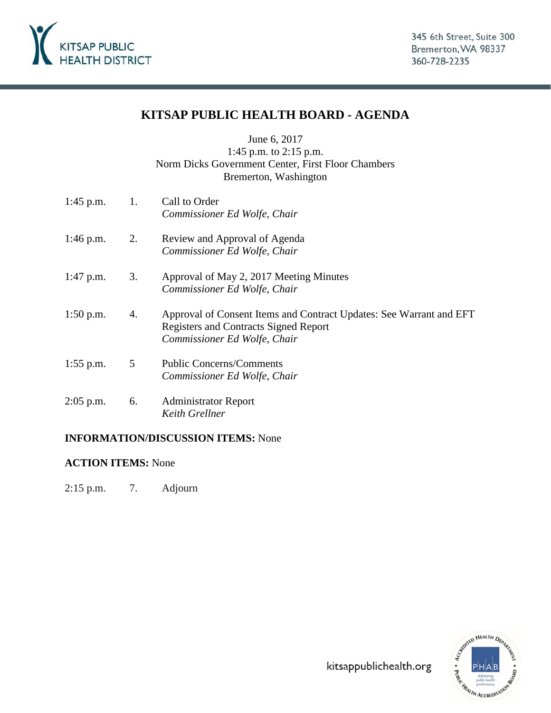

# **KITSAP PUBLIC HEALTH BOARD - AGENDA**

June 6, 2017 1:45 p.m. to 2:15 p.m. Norm Dicks Government Center, First Floor Chambers Bremerton, Washington

1:45 p.m. 1. Call to Order *Commissioner Ed Wolfe, Chair* 1:46 p.m. 2. Review and Approval of Agenda *Commissioner Ed Wolfe, Chair* 1:47 p.m. 3. Approval of May 2, 2017 Meeting Minutes *Commissioner Ed Wolfe, Chair* 1:50 p.m. 4. Approval of Consent Items and Contract Updates: See Warrant and EFT Registers and Contracts Signed Report *Commissioner Ed Wolfe, Chair* 1:55 p.m. 5 Public Concerns/Comments *Commissioner Ed Wolfe, Chair* 2:05 p.m. 6. Administrator Report *Keith Grellner*

### **INFORMATION/DISCUSSION ITEMS:** None

### **ACTION ITEMS:** None

2:15 p.m. 7. Adjourn

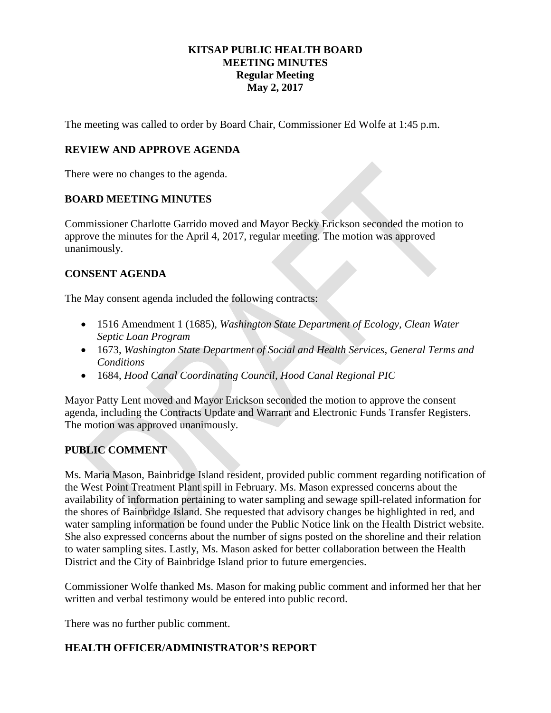### **KITSAP PUBLIC HEALTH BOARD MEETING MINUTES Regular Meeting May 2, 2017**

The meeting was called to order by Board Chair, Commissioner Ed Wolfe at 1:45 p.m.

### **REVIEW AND APPROVE AGENDA**

There were no changes to the agenda.

### **BOARD MEETING MINUTES**

Commissioner Charlotte Garrido moved and Mayor Becky Erickson seconded the motion to approve the minutes for the April 4, 2017, regular meeting. The motion was approved unanimously.

### **CONSENT AGENDA**

The May consent agenda included the following contracts:

- 1516 Amendment 1 (1685)*, Washington State Department of Ecology, Clean Water Septic Loan Program*
- 1673, *Washington State Department of Social and Health Services, General Terms and Conditions*
- 1684, *Hood Canal Coordinating Council, Hood Canal Regional PIC*

Mayor Patty Lent moved and Mayor Erickson seconded the motion to approve the consent agenda, including the Contracts Update and Warrant and Electronic Funds Transfer Registers. The motion was approved unanimously.

### **PUBLIC COMMENT**

Ms. Maria Mason, Bainbridge Island resident, provided public comment regarding notification of the West Point Treatment Plant spill in February. Ms. Mason expressed concerns about the availability of information pertaining to water sampling and sewage spill-related information for the shores of Bainbridge Island. She requested that advisory changes be highlighted in red, and water sampling information be found under the Public Notice link on the Health District website. She also expressed concerns about the number of signs posted on the shoreline and their relation to water sampling sites. Lastly, Ms. Mason asked for better collaboration between the Health District and the City of Bainbridge Island prior to future emergencies.

Commissioner Wolfe thanked Ms. Mason for making public comment and informed her that her written and verbal testimony would be entered into public record.

There was no further public comment.

### **HEALTH OFFICER/ADMINISTRATOR'S REPORT**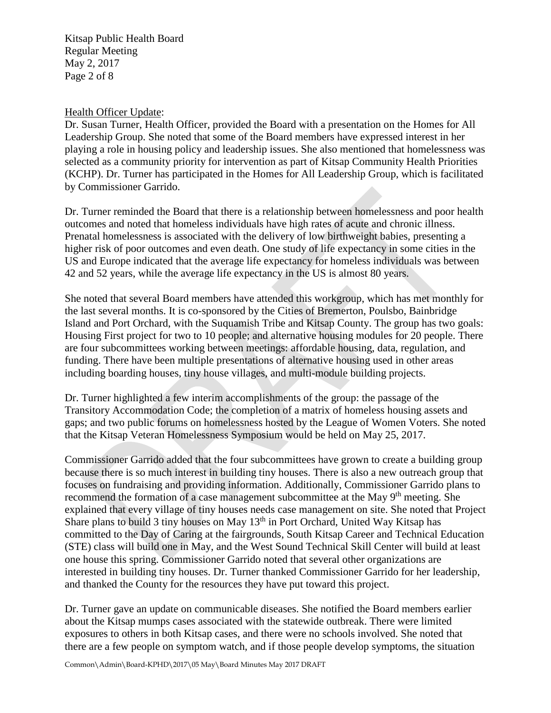Kitsap Public Health Board Regular Meeting May 2, 2017 Page 2 of 8

### Health Officer Update:

Dr. Susan Turner, Health Officer, provided the Board with a presentation on the Homes for All Leadership Group. She noted that some of the Board members have expressed interest in her playing a role in housing policy and leadership issues. She also mentioned that homelessness was selected as a community priority for intervention as part of Kitsap Community Health Priorities (KCHP). Dr. Turner has participated in the Homes for All Leadership Group, which is facilitated by Commissioner Garrido.

Dr. Turner reminded the Board that there is a relationship between homelessness and poor health outcomes and noted that homeless individuals have high rates of acute and chronic illness. Prenatal homelessness is associated with the delivery of low birthweight babies, presenting a higher risk of poor outcomes and even death. One study of life expectancy in some cities in the US and Europe indicated that the average life expectancy for homeless individuals was between 42 and 52 years, while the average life expectancy in the US is almost 80 years.

She noted that several Board members have attended this workgroup, which has met monthly for the last several months. It is co-sponsored by the Cities of Bremerton, Poulsbo, Bainbridge Island and Port Orchard, with the Suquamish Tribe and Kitsap County. The group has two goals: Housing First project for two to 10 people; and alternative housing modules for 20 people. There are four subcommittees working between meetings: affordable housing, data, regulation, and funding. There have been multiple presentations of alternative housing used in other areas including boarding houses, tiny house villages, and multi-module building projects.

Dr. Turner highlighted a few interim accomplishments of the group: the passage of the Transitory Accommodation Code; the completion of a matrix of homeless housing assets and gaps; and two public forums on homelessness hosted by the League of Women Voters. She noted that the Kitsap Veteran Homelessness Symposium would be held on May 25, 2017.

Commissioner Garrido added that the four subcommittees have grown to create a building group because there is so much interest in building tiny houses. There is also a new outreach group that focuses on fundraising and providing information. Additionally, Commissioner Garrido plans to recommend the formation of a case management subcommittee at the May 9<sup>th</sup> meeting. She explained that every village of tiny houses needs case management on site. She noted that Project Share plans to build 3 tiny houses on May  $13<sup>th</sup>$  in Port Orchard, United Way Kitsap has committed to the Day of Caring at the fairgrounds, South Kitsap Career and Technical Education (STE) class will build one in May, and the West Sound Technical Skill Center will build at least one house this spring. Commissioner Garrido noted that several other organizations are interested in building tiny houses. Dr. Turner thanked Commissioner Garrido for her leadership, and thanked the County for the resources they have put toward this project.

Dr. Turner gave an update on communicable diseases. She notified the Board members earlier about the Kitsap mumps cases associated with the statewide outbreak. There were limited exposures to others in both Kitsap cases, and there were no schools involved. She noted that there are a few people on symptom watch, and if those people develop symptoms, the situation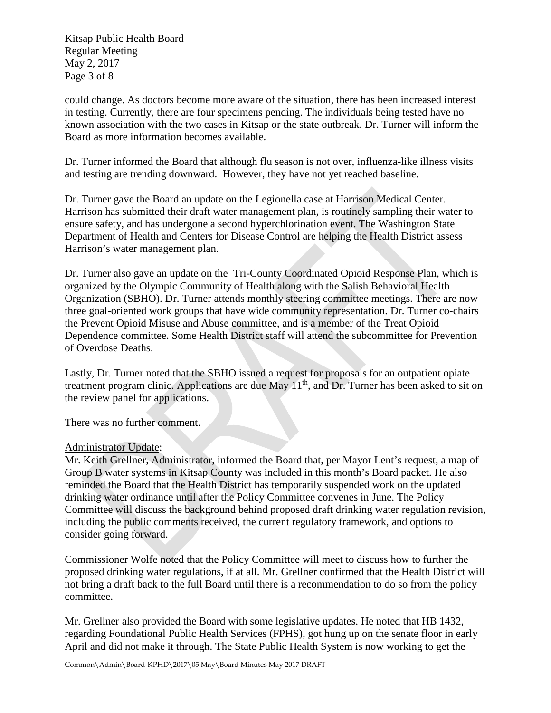Kitsap Public Health Board Regular Meeting May 2, 2017 Page 3 of 8

could change. As doctors become more aware of the situation, there has been increased interest in testing. Currently, there are four specimens pending. The individuals being tested have no known association with the two cases in Kitsap or the state outbreak. Dr. Turner will inform the Board as more information becomes available.

Dr. Turner informed the Board that although flu season is not over, influenza-like illness visits and testing are trending downward. However, they have not yet reached baseline.

Dr. Turner gave the Board an update on the Legionella case at Harrison Medical Center. Harrison has submitted their draft water management plan, is routinely sampling their water to ensure safety, and has undergone a second hyperchlorination event. The Washington State Department of Health and Centers for Disease Control are helping the Health District assess Harrison's water management plan.

Dr. Turner also gave an update on the Tri-County Coordinated Opioid Response Plan, which is organized by the Olympic Community of Health along with the Salish Behavioral Health Organization (SBHO). Dr. Turner attends monthly steering committee meetings. There are now three goal-oriented work groups that have wide community representation. Dr. Turner co-chairs the Prevent Opioid Misuse and Abuse committee, and is a member of the Treat Opioid Dependence committee. Some Health District staff will attend the subcommittee for Prevention of Overdose Deaths.

Lastly, Dr. Turner noted that the SBHO issued a request for proposals for an outpatient opiate treatment program clinic. Applications are due May 11<sup>th</sup>, and Dr. Turner has been asked to sit on the review panel for applications.

There was no further comment.

### Administrator Update:

Mr. Keith Grellner, Administrator, informed the Board that, per Mayor Lent's request, a map of Group B water systems in Kitsap County was included in this month's Board packet. He also reminded the Board that the Health District has temporarily suspended work on the updated drinking water ordinance until after the Policy Committee convenes in June. The Policy Committee will discuss the background behind proposed draft drinking water regulation revision, including the public comments received, the current regulatory framework, and options to consider going forward.

Commissioner Wolfe noted that the Policy Committee will meet to discuss how to further the proposed drinking water regulations, if at all. Mr. Grellner confirmed that the Health District will not bring a draft back to the full Board until there is a recommendation to do so from the policy committee.

Mr. Grellner also provided the Board with some legislative updates. He noted that HB 1432, regarding Foundational Public Health Services (FPHS), got hung up on the senate floor in early April and did not make it through. The State Public Health System is now working to get the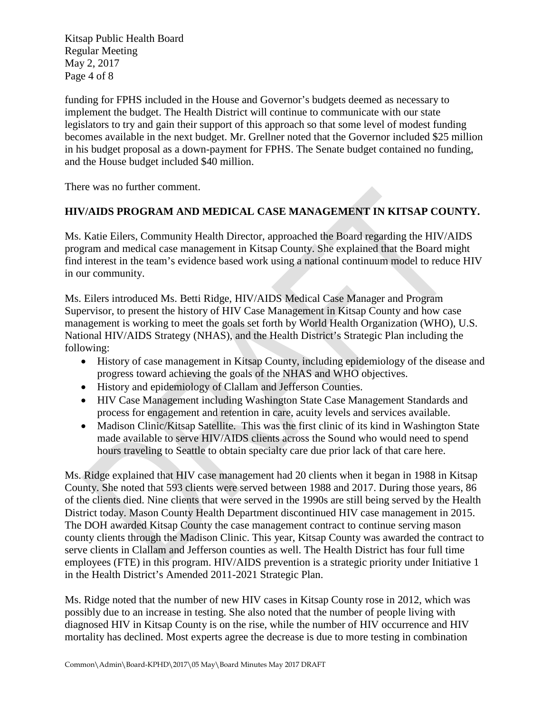Kitsap Public Health Board Regular Meeting May 2, 2017 Page 4 of 8

funding for FPHS included in the House and Governor's budgets deemed as necessary to implement the budget. The Health District will continue to communicate with our state legislators to try and gain their support of this approach so that some level of modest funding becomes available in the next budget. Mr. Grellner noted that the Governor included \$25 million in his budget proposal as a down-payment for FPHS. The Senate budget contained no funding, and the House budget included \$40 million.

There was no further comment.

### **HIV/AIDS PROGRAM AND MEDICAL CASE MANAGEMENT IN KITSAP COUNTY.**

Ms. Katie Eilers, Community Health Director, approached the Board regarding the HIV/AIDS program and medical case management in Kitsap County. She explained that the Board might find interest in the team's evidence based work using a national continuum model to reduce HIV in our community.

Ms. Eilers introduced Ms. Betti Ridge, HIV/AIDS Medical Case Manager and Program Supervisor, to present the history of HIV Case Management in Kitsap County and how case management is working to meet the goals set forth by World Health Organization (WHO), U.S. National HIV/AIDS Strategy (NHAS), and the Health District's Strategic Plan including the following:

- History of case management in Kitsap County, including epidemiology of the disease and progress toward achieving the goals of the NHAS and WHO objectives.
- History and epidemiology of Clallam and Jefferson Counties.
- HIV Case Management including Washington State Case Management Standards and process for engagement and retention in care, acuity levels and services available.
- Madison Clinic/Kitsap Satellite. This was the first clinic of its kind in Washington State made available to serve HIV/AIDS clients across the Sound who would need to spend hours traveling to Seattle to obtain specialty care due prior lack of that care here.

Ms. Ridge explained that HIV case management had 20 clients when it began in 1988 in Kitsap County. She noted that 593 clients were served between 1988 and 2017. During those years, 86 of the clients died. Nine clients that were served in the 1990s are still being served by the Health District today. Mason County Health Department discontinued HIV case management in 2015. The DOH awarded Kitsap County the case management contract to continue serving mason county clients through the Madison Clinic. This year, Kitsap County was awarded the contract to serve clients in Clallam and Jefferson counties as well. The Health District has four full time employees (FTE) in this program. HIV/AIDS prevention is a strategic priority under Initiative 1 in the Health District's Amended 2011-2021 Strategic Plan.

Ms. Ridge noted that the number of new HIV cases in Kitsap County rose in 2012, which was possibly due to an increase in testing. She also noted that the number of people living with diagnosed HIV in Kitsap County is on the rise, while the number of HIV occurrence and HIV mortality has declined. Most experts agree the decrease is due to more testing in combination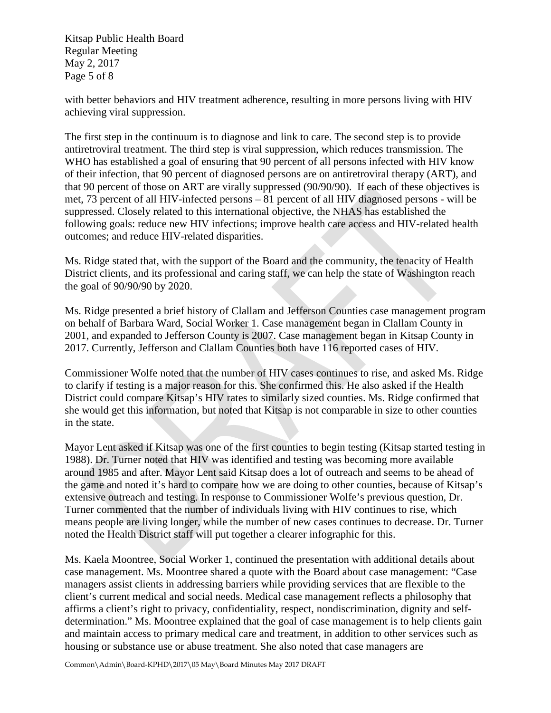Kitsap Public Health Board Regular Meeting May 2, 2017 Page 5 of 8

with better behaviors and HIV treatment adherence, resulting in more persons living with HIV achieving viral suppression.

The first step in the continuum is to diagnose and link to care. The second step is to provide antiretroviral treatment. The third step is viral suppression, which reduces transmission. The WHO has established a goal of ensuring that 90 percent of all persons infected with HIV know of their infection, that 90 percent of diagnosed persons are on antiretroviral therapy (ART), and that 90 percent of those on ART are virally suppressed (90/90/90). If each of these objectives is met, 73 percent of all HIV-infected persons – 81 percent of all HIV diagnosed persons - will be suppressed. Closely related to this international objective, the NHAS has established the following goals: reduce new HIV infections; improve health care access and HIV-related health outcomes; and reduce HIV-related disparities.

Ms. Ridge stated that, with the support of the Board and the community, the tenacity of Health District clients, and its professional and caring staff, we can help the state of Washington reach the goal of 90/90/90 by 2020.

Ms. Ridge presented a brief history of Clallam and Jefferson Counties case management program on behalf of Barbara Ward, Social Worker 1. Case management began in Clallam County in 2001, and expanded to Jefferson County is 2007. Case management began in Kitsap County in 2017. Currently, Jefferson and Clallam Counties both have 116 reported cases of HIV.

Commissioner Wolfe noted that the number of HIV cases continues to rise, and asked Ms. Ridge to clarify if testing is a major reason for this. She confirmed this. He also asked if the Health District could compare Kitsap's HIV rates to similarly sized counties. Ms. Ridge confirmed that she would get this information, but noted that Kitsap is not comparable in size to other counties in the state.

Mayor Lent asked if Kitsap was one of the first counties to begin testing (Kitsap started testing in 1988). Dr. Turner noted that HIV was identified and testing was becoming more available around 1985 and after. Mayor Lent said Kitsap does a lot of outreach and seems to be ahead of the game and noted it's hard to compare how we are doing to other counties, because of Kitsap's extensive outreach and testing. In response to Commissioner Wolfe's previous question, Dr. Turner commented that the number of individuals living with HIV continues to rise, which means people are living longer, while the number of new cases continues to decrease. Dr. Turner noted the Health District staff will put together a clearer infographic for this.

Ms. Kaela Moontree, Social Worker 1, continued the presentation with additional details about case management. Ms. Moontree shared a quote with the Board about case management: "Case managers assist clients in addressing barriers while providing services that are flexible to the client's current medical and social needs. Medical case management reflects a philosophy that affirms a client's right to privacy, confidentiality, respect, nondiscrimination, dignity and selfdetermination." Ms. Moontree explained that the goal of case management is to help clients gain and maintain access to primary medical care and treatment, in addition to other services such as housing or substance use or abuse treatment. She also noted that case managers are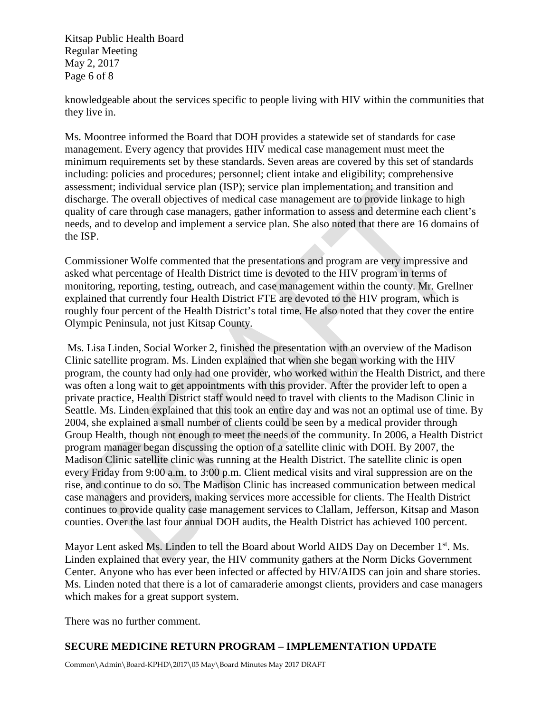Kitsap Public Health Board Regular Meeting May 2, 2017 Page 6 of 8

knowledgeable about the services specific to people living with HIV within the communities that they live in.

Ms. Moontree informed the Board that DOH provides a statewide set of standards for case management. Every agency that provides HIV medical case management must meet the minimum requirements set by these standards. Seven areas are covered by this set of standards including: policies and procedures; personnel; client intake and eligibility; comprehensive assessment; individual service plan (ISP); service plan implementation; and transition and discharge. The overall objectives of medical case management are to provide linkage to high quality of care through case managers, gather information to assess and determine each client's needs, and to develop and implement a service plan. She also noted that there are 16 domains of the ISP.

Commissioner Wolfe commented that the presentations and program are very impressive and asked what percentage of Health District time is devoted to the HIV program in terms of monitoring, reporting, testing, outreach, and case management within the county. Mr. Grellner explained that currently four Health District FTE are devoted to the HIV program, which is roughly four percent of the Health District's total time. He also noted that they cover the entire Olympic Peninsula, not just Kitsap County.

Ms. Lisa Linden, Social Worker 2, finished the presentation with an overview of the Madison Clinic satellite program. Ms. Linden explained that when she began working with the HIV program, the county had only had one provider, who worked within the Health District, and there was often a long wait to get appointments with this provider. After the provider left to open a private practice, Health District staff would need to travel with clients to the Madison Clinic in Seattle. Ms. Linden explained that this took an entire day and was not an optimal use of time. By 2004, she explained a small number of clients could be seen by a medical provider through Group Health, though not enough to meet the needs of the community. In 2006, a Health District program manager began discussing the option of a satellite clinic with DOH. By 2007, the Madison Clinic satellite clinic was running at the Health District. The satellite clinic is open every Friday from 9:00 a.m. to 3:00 p.m. Client medical visits and viral suppression are on the rise, and continue to do so. The Madison Clinic has increased communication between medical case managers and providers, making services more accessible for clients. The Health District continues to provide quality case management services to Clallam, Jefferson, Kitsap and Mason counties. Over the last four annual DOH audits, the Health District has achieved 100 percent.

Mayor Lent asked Ms. Linden to tell the Board about World AIDS Day on December  $1<sup>st</sup>$ . Ms. Linden explained that every year, the HIV community gathers at the Norm Dicks Government Center. Anyone who has ever been infected or affected by HIV/AIDS can join and share stories. Ms. Linden noted that there is a lot of camaraderie amongst clients, providers and case managers which makes for a great support system.

There was no further comment.

## **SECURE MEDICINE RETURN PROGRAM – IMPLEMENTATION UPDATE**

Common\Admin\Board-KPHD\2017\05 May\Board Minutes May 2017 DRAFT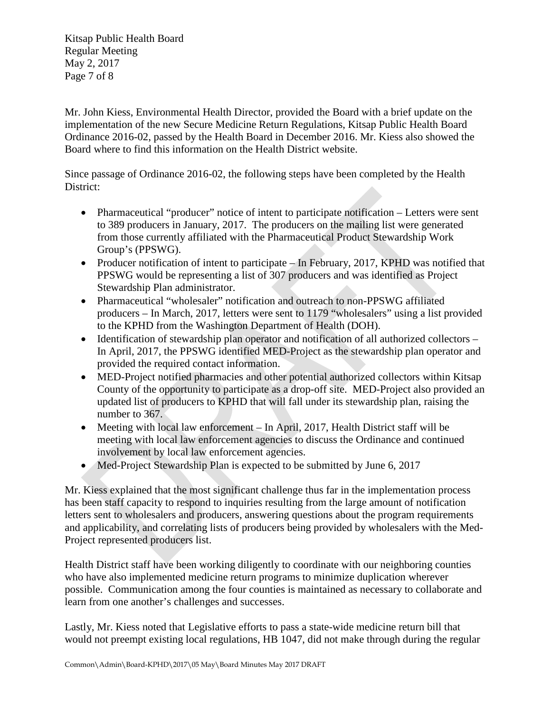Kitsap Public Health Board Regular Meeting May 2, 2017 Page 7 of 8

Mr. John Kiess, Environmental Health Director, provided the Board with a brief update on the implementation of the new Secure Medicine Return Regulations, Kitsap Public Health Board Ordinance 2016-02, passed by the Health Board in December 2016. Mr. Kiess also showed the Board where to find this information on the Health District website.

Since passage of Ordinance 2016-02, the following steps have been completed by the Health District:

- Pharmaceutical "producer" notice of intent to participate notification Letters were sent to 389 producers in January, 2017. The producers on the mailing list were generated from those currently affiliated with the Pharmaceutical Product Stewardship Work Group's (PPSWG).
- Producer notification of intent to participate In February, 2017, KPHD was notified that PPSWG would be representing a list of 307 producers and was identified as Project Stewardship Plan administrator.
- Pharmaceutical "wholesaler" notification and outreach to non-PPSWG affiliated producers – In March, 2017, letters were sent to 1179 "wholesalers" using a list provided to the KPHD from the Washington Department of Health (DOH).
- Identification of stewardship plan operator and notification of all authorized collectors In April, 2017, the PPSWG identified MED-Project as the stewardship plan operator and provided the required contact information.
- MED-Project notified pharmacies and other potential authorized collectors within Kitsap County of the opportunity to participate as a drop-off site. MED-Project also provided an updated list of producers to KPHD that will fall under its stewardship plan, raising the number to 367.
- Meeting with local law enforcement In April, 2017, Health District staff will be meeting with local law enforcement agencies to discuss the Ordinance and continued involvement by local law enforcement agencies.
- Med-Project Stewardship Plan is expected to be submitted by June 6, 2017

Mr. Kiess explained that the most significant challenge thus far in the implementation process has been staff capacity to respond to inquiries resulting from the large amount of notification letters sent to wholesalers and producers, answering questions about the program requirements and applicability, and correlating lists of producers being provided by wholesalers with the Med-Project represented producers list.

Health District staff have been working diligently to coordinate with our neighboring counties who have also implemented medicine return programs to minimize duplication wherever possible. Communication among the four counties is maintained as necessary to collaborate and learn from one another's challenges and successes.

Lastly, Mr. Kiess noted that Legislative efforts to pass a state-wide medicine return bill that would not preempt existing local regulations, HB 1047, did not make through during the regular